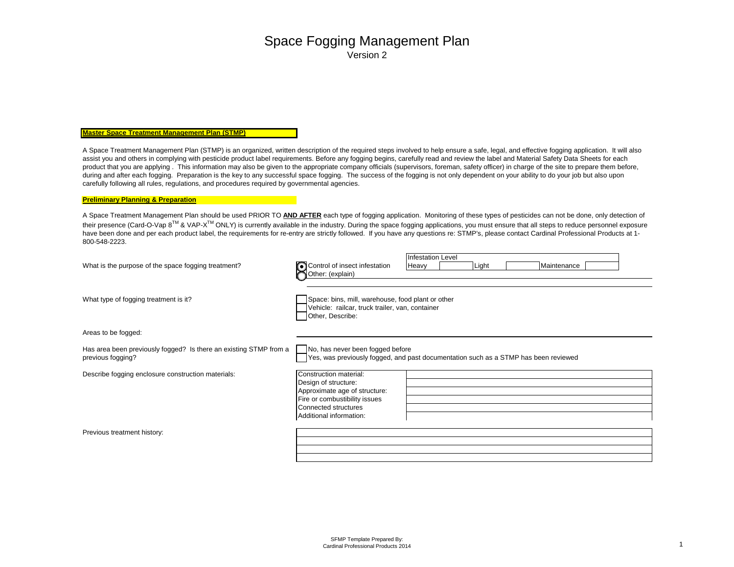#### **Master Space Treatment Management Plan (STMP)**

A Space Treatment Management Plan (STMP) is an organized, written description of the required steps involved to help ensure a safe, legal, and effective fogging application. It will also assist you and others in complying with pesticide product label requirements. Before any fogging begins, carefully read and review the label and Material Safety Data Sheets for each product that you are applying. This information may also be given to the appropriate company officials (supervisors, foreman, safety officer) in charge of the site to prepare them before, during and after each fogging. Preparation is the key to any successful space fogging. The success of the fogging is not only dependent on your ability to do your job but also upon carefully following all rules, regulations, and procedures required by governmental agencies.

#### **Preliminary Planning & Preparation**

A Space Treatment Management Plan should be used PRIOR TO **AND AFTER** each type of fogging application. Monitoring of these types of pesticides can not be done, only detection of their presence (Card-O-Vap 8™ & VAP-X<sup>™</sup> ONLY) is currently available in the industry. During the space fogging applications, you must ensure that all steps to reduce personnel exposure have been done and per each product label, the requirements for re-entry are strictly followed. If you have any questions re: STMP's, please contact Cardinal Professional Products at 1-800-548-2223.

| What is the purpose of the space fogging treatment?                                    | <b>Infestation Level</b><br>Control of insect infestation<br>Light<br>Heavy<br>Maintenance<br>Other: (explain)                                                      |
|----------------------------------------------------------------------------------------|---------------------------------------------------------------------------------------------------------------------------------------------------------------------|
| What type of fogging treatment is it?                                                  | Space: bins, mill, warehouse, food plant or other<br>Vehicle: railcar, truck trailer, van, container<br>Other, Describe:                                            |
| Areas to be fogged:                                                                    |                                                                                                                                                                     |
| Has area been previously fogged? Is there an existing STMP from a<br>previous fogging? | No, has never been fogged before<br>Yes, was previously fogged, and past documentation such as a STMP has been reviewed                                             |
| Describe fogging enclosure construction materials:                                     | Construction material:<br>Design of structure:<br>Approximate age of structure:<br>Fire or combustibility issues<br>Connected structures<br>Additional information: |
| Previous treatment history:                                                            |                                                                                                                                                                     |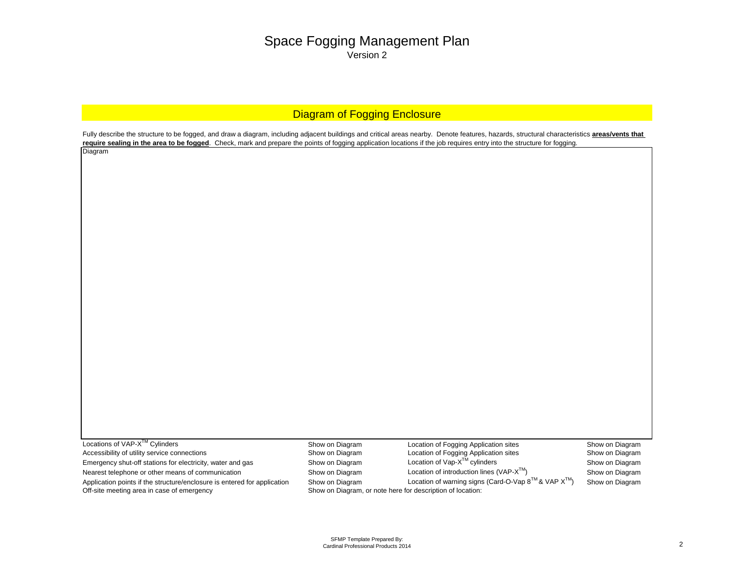#### Diagram of Fogging Enclosure

Fully describe the structure to be fogged, and draw a diagram, including adjacent buildings and critical areas nearby. Denote features, hazards, structural characteristics **areas/vents that require sealing in the area to be fogged**. Check, mark and prepare the points of fogging application locations if the job requires entry into the structure for fogging.

Diagram

Locations of VAP-X<sup>TM</sup> Cylinders Show on Diagram Show on Diagram Location of Fogging Application sites Show on Diagram Accessibility of utility service connections and the reader of Show on Diagram Cocation of Fogging Application sites Show on Diagram<br>Show on Diagram Show on Diagram Location of Vap-X<sup>TM</sup> cylinders Show on Diagram Energency Emergency shut-off stations for electricity, water and gas Show on Diagram Location of Vap- $X^{TM}$  cylinders Show on Diagram Show on Diagram Nearest telephone or other means of communication Show on Diagram Location of introduction lines (VAP-X<sup>™</sup>) Show on Diagram Application points if the structure/enclosure is entered for application Show on Diagram Location of warning signs (Card-O-Vap  $8^{TM}$ & VAP  $X^{TM}$ ) Show on Diagram Off-site meeting area in case of emergency Show on Diagram, or note here for description of location: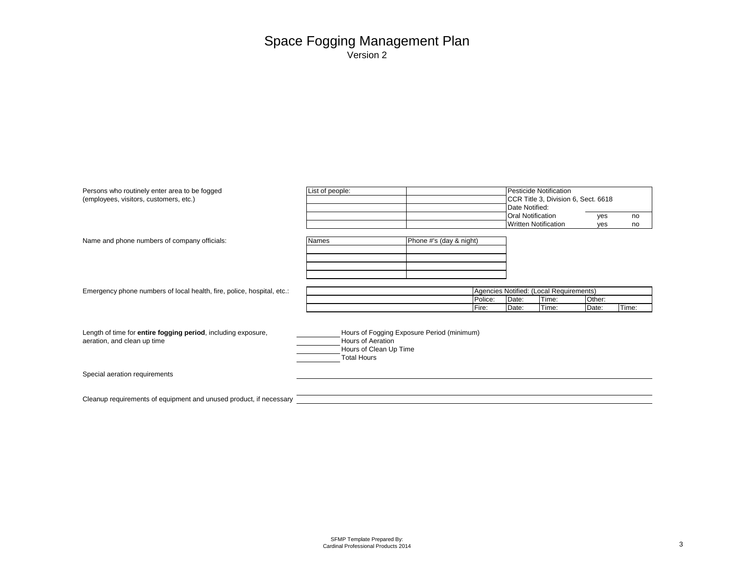| Persons who routinely enter area to be fogged<br>(employees, visitors, customers, etc.)      | List of people: |                                                                   |                                            |                  | Date Notified:    | <b>Pesticide Notification</b><br>CCR Title 3, Division 6, Sect. 6618 |                 |          |
|----------------------------------------------------------------------------------------------|-----------------|-------------------------------------------------------------------|--------------------------------------------|------------------|-------------------|----------------------------------------------------------------------|-----------------|----------|
|                                                                                              |                 |                                                                   |                                            |                  | Oral Notification | <b>Written Notification</b>                                          | yes<br>yes      | no<br>no |
| Name and phone numbers of company officials:                                                 | <b>Names</b>    |                                                                   | Phone #'s (day & night)                    |                  |                   |                                                                      |                 |          |
| Emergency phone numbers of local health, fire, police, hospital, etc.:                       |                 |                                                                   |                                            | Police:<br>Fire: | Date:<br>Date:    | Agencies Notified: (Local Requirements)<br>Time:<br>Time:            | Other:<br>Date: | Time:    |
| Length of time for entire fogging period, including exposure,<br>aeration, and clean up time |                 | Hours of Aeration<br>Hours of Clean Up Time<br><b>Total Hours</b> | Hours of Fogging Exposure Period (minimum) |                  |                   |                                                                      |                 |          |
| Special aeration requirements                                                                |                 |                                                                   |                                            |                  |                   |                                                                      |                 |          |
| Cleanup requirements of equipment and unused product, if necessary                           |                 |                                                                   |                                            |                  |                   |                                                                      |                 |          |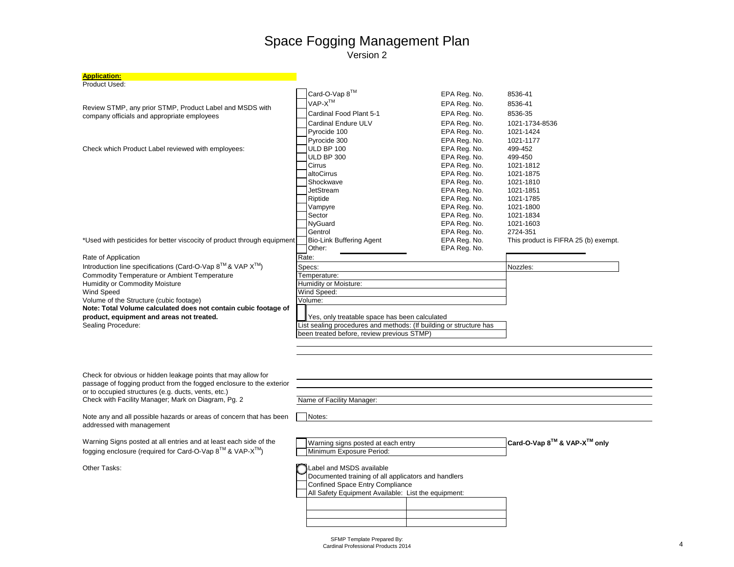| <b>Application:</b>                                                     |                                                                                                                  |              |                                      |  |  |
|-------------------------------------------------------------------------|------------------------------------------------------------------------------------------------------------------|--------------|--------------------------------------|--|--|
| Product Used:                                                           |                                                                                                                  |              |                                      |  |  |
|                                                                         | Card-O-Vap 8™                                                                                                    | EPA Reg. No. | 8536-41                              |  |  |
|                                                                         | VAP-X™                                                                                                           | EPA Reg. No. | 8536-41                              |  |  |
| Review STMP, any prior STMP, Product Label and MSDS with                | Cardinal Food Plant 5-1                                                                                          | EPA Reg. No. | 8536-35                              |  |  |
| company officials and appropriate employees                             |                                                                                                                  |              |                                      |  |  |
|                                                                         | Cardinal Endure ULV                                                                                              | EPA Reg. No. | 1021-1734-8536                       |  |  |
|                                                                         | Pyrocide 100                                                                                                     | EPA Req. No. | 1021-1424                            |  |  |
|                                                                         | Pyrocide 300                                                                                                     | EPA Req. No. | 1021-1177                            |  |  |
| Check which Product Label reviewed with employees:                      | <b>ULD BP 100</b>                                                                                                | EPA Reg. No. | 499-452                              |  |  |
|                                                                         | <b>ULD BP 300</b><br>EPA Reg. No.                                                                                |              | 499-450                              |  |  |
|                                                                         | Cirrus                                                                                                           | EPA Reg. No. | 1021-1812                            |  |  |
|                                                                         | altoCirrus                                                                                                       | EPA Req. No. | 1021-1875                            |  |  |
|                                                                         | Shockwave                                                                                                        | EPA Reg. No. | 1021-1810                            |  |  |
|                                                                         | <b>JetStream</b>                                                                                                 | EPA Req. No. | 1021-1851                            |  |  |
|                                                                         | Riptide                                                                                                          | EPA Reg. No. | 1021-1785                            |  |  |
|                                                                         | Vampyre                                                                                                          | EPA Reg. No. | 1021-1800                            |  |  |
|                                                                         | Sector                                                                                                           | EPA Reg. No. | 1021-1834                            |  |  |
|                                                                         | NyGuard                                                                                                          | EPA Reg. No. | 1021-1603                            |  |  |
|                                                                         | Gentrol                                                                                                          | EPA Reg. No. | 2724-351                             |  |  |
| *Used with pesticides for better viscocity of product through equipment | <b>Bio-Link Buffering Agent</b>                                                                                  | EPA Reg. No. | This product is FIFRA 25 (b) exempt. |  |  |
|                                                                         | Other:                                                                                                           | EPA Reg. No. |                                      |  |  |
| Rate of Application                                                     | Rate:                                                                                                            |              |                                      |  |  |
| Introduction line specifications (Card-O-Vap 8™ & VAP X <sup>™</sup> )  | Specs:                                                                                                           |              | Nozzles:                             |  |  |
| Commodity Temperature or Ambient Temperature                            | Temperature:                                                                                                     |              |                                      |  |  |
| Humidity or Commodity Moisture                                          | Humidity or Moisture:                                                                                            |              |                                      |  |  |
| <b>Wind Speed</b>                                                       | Wind Speed:                                                                                                      |              |                                      |  |  |
| Volume of the Structure (cubic footage)                                 | Volume:                                                                                                          |              |                                      |  |  |
| Note: Total Volume calculated does not contain cubic footage of         |                                                                                                                  |              |                                      |  |  |
| product, equipment and areas not treated.                               | Yes, only treatable space has been calculated                                                                    |              |                                      |  |  |
| Sealing Procedure:                                                      | List sealing procedures and methods: (If building or structure has<br>been treated before, review previous STMP) |              |                                      |  |  |
|                                                                         |                                                                                                                  |              |                                      |  |  |
|                                                                         |                                                                                                                  |              |                                      |  |  |
|                                                                         |                                                                                                                  |              |                                      |  |  |
|                                                                         |                                                                                                                  |              |                                      |  |  |
|                                                                         |                                                                                                                  |              |                                      |  |  |
| Check for obvious or hidden leakage points that may allow for           |                                                                                                                  |              |                                      |  |  |
| passage of fogging product from the fogged enclosure to the exterior    |                                                                                                                  |              |                                      |  |  |
| or to occupied structures (e.g. ducts, vents, etc.)                     |                                                                                                                  |              |                                      |  |  |
| Check with Facility Manager; Mark on Diagram, Pg. 2                     | Name of Facility Manager:                                                                                        |              |                                      |  |  |
| Note any and all possible hazards or areas of concern that has been     | Notes:                                                                                                           |              |                                      |  |  |
| addressed with management                                               |                                                                                                                  |              |                                      |  |  |
|                                                                         |                                                                                                                  |              |                                      |  |  |
| Warning Signs posted at all entries and at least each side of the       |                                                                                                                  |              | Card-O-Vap 8™ & VAP-X™ only          |  |  |
|                                                                         | Warning signs posted at each entry                                                                               |              |                                      |  |  |
| fogging enclosure (required for Card-O-Vap 8™ & VAP-X™)                 | Minimum Exposure Period:                                                                                         |              |                                      |  |  |
| Other Tasks:                                                            |                                                                                                                  |              |                                      |  |  |
|                                                                         | Label and MSDS available                                                                                         |              |                                      |  |  |
|                                                                         | Documented training of all applicators and handlers                                                              |              |                                      |  |  |
|                                                                         | Confined Space Entry Compliance                                                                                  |              |                                      |  |  |
|                                                                         | All Safety Equipment Available: List the equipment:                                                              |              |                                      |  |  |
|                                                                         |                                                                                                                  |              |                                      |  |  |
|                                                                         |                                                                                                                  |              |                                      |  |  |
|                                                                         |                                                                                                                  |              |                                      |  |  |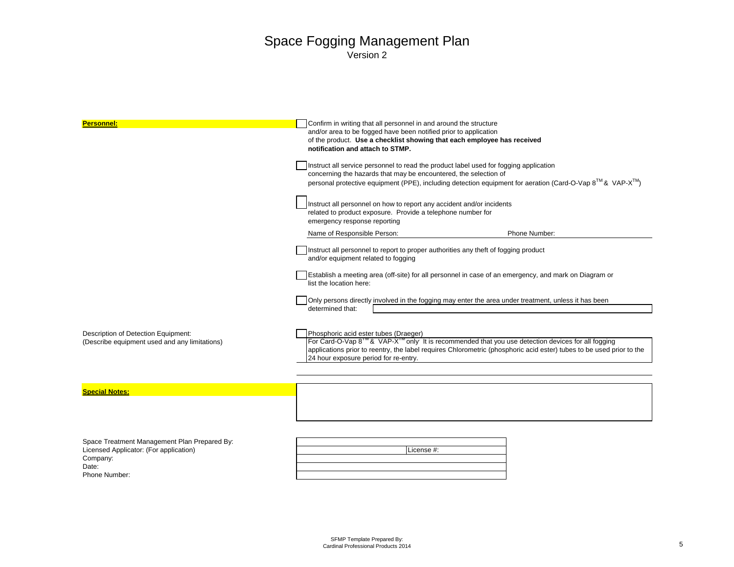| <b>Personnel:</b>                                                                                                            | Confirm in writing that all personnel in and around the structure<br>and/or area to be fogged have been notified prior to application<br>of the product. Use a checklist showing that each employee has received<br>notification and attach to STMP.<br>Instruct all service personnel to read the product label used for fogging application<br>concerning the hazards that may be encountered, the selection of<br>personal protective equipment (PPE), including detection equipment for aeration (Card-O-Vap 8™& VAP-X™) |  |  |
|------------------------------------------------------------------------------------------------------------------------------|------------------------------------------------------------------------------------------------------------------------------------------------------------------------------------------------------------------------------------------------------------------------------------------------------------------------------------------------------------------------------------------------------------------------------------------------------------------------------------------------------------------------------|--|--|
|                                                                                                                              | Instruct all personnel on how to report any accident and/or incidents<br>related to product exposure. Provide a telephone number for<br>emergency response reporting<br>Name of Responsible Person:<br>Phone Number:                                                                                                                                                                                                                                                                                                         |  |  |
|                                                                                                                              | Instruct all personnel to report to proper authorities any theft of fogging product<br>and/or equipment related to fogging<br>Establish a meeting area (off-site) for all personnel in case of an emergency, and mark on Diagram or<br>list the location here:                                                                                                                                                                                                                                                               |  |  |
|                                                                                                                              | Only persons directly involved in the fogging may enter the area under treatment, unless it has been<br>determined that:                                                                                                                                                                                                                                                                                                                                                                                                     |  |  |
| Description of Detection Equipment:<br>(Describe equipment used and any limitations)                                         | Phosphoric acid ester tubes (Draeger)<br>For Card-O-Vap 8 <sup>™</sup> & VAP-X <sup>™</sup> only It is recommended that you use detection devices for all fogging<br>applications prior to reentry, the label requires Chlorometric (phosphoric acid ester) tubes to be used prior to the<br>24 hour exposure period for re-entry.                                                                                                                                                                                           |  |  |
| <b>Special Notes:</b>                                                                                                        |                                                                                                                                                                                                                                                                                                                                                                                                                                                                                                                              |  |  |
| Space Treatment Management Plan Prepared By:<br>Licensed Applicator: (For application)<br>Company:<br>Date:<br>Phone Number: | License #:                                                                                                                                                                                                                                                                                                                                                                                                                                                                                                                   |  |  |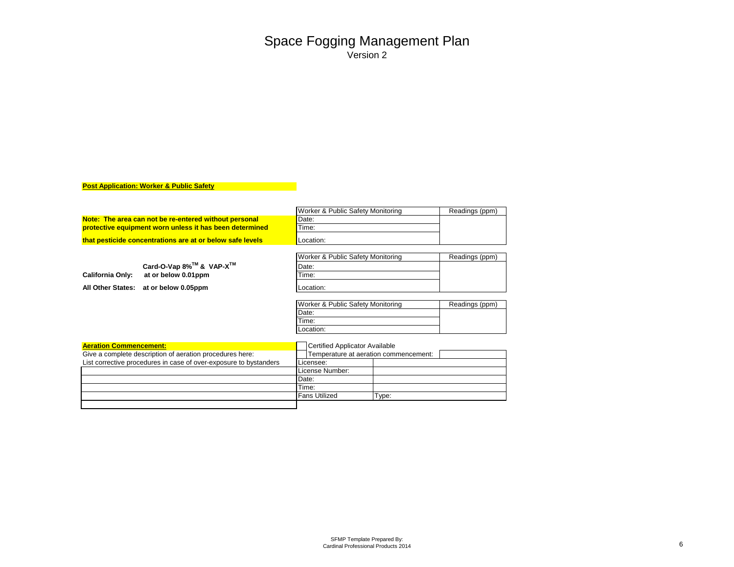#### **Post Application: Worker & Public Safety**

|                                                                                                                      |                                                 | Worker & Public Safety Monitoring | Readings (ppm) |
|----------------------------------------------------------------------------------------------------------------------|-------------------------------------------------|-----------------------------------|----------------|
| Note: The area can not be re-entered without personal                                                                |                                                 | Date:                             |                |
| protective equipment worn unless it has been determined<br>that pesticide concentrations are at or below safe levels |                                                 | Time:                             |                |
|                                                                                                                      |                                                 | Location:                         |                |
|                                                                                                                      |                                                 | Worker & Public Safety Monitoring | Readings (ppm) |
|                                                                                                                      | Card-O-Vap 8% <sup>™</sup> & VAP-X <sup>™</sup> | Date:                             |                |
| <b>California Only:</b>                                                                                              | at or below 0.01ppm                             | Time:                             |                |
| <b>All Other States:</b>                                                                                             | at or below 0.05ppm                             | Location:                         |                |
|                                                                                                                      |                                                 | Worker & Public Safety Monitoring | Readings (ppm) |
|                                                                                                                      |                                                 | Date:                             |                |
|                                                                                                                      |                                                 | Time:                             |                |
|                                                                                                                      |                                                 | Location:                         |                |
| <b>Aeration Commencement:</b>                                                                                        |                                                 | Certified Applicator Available    |                |

| <b>Aeration Commencement:</b>                                     | Certified Applicator Available        |
|-------------------------------------------------------------------|---------------------------------------|
| Give a complete description of aeration procedures here:          | Temperature at aeration commencement: |
| List corrective procedures in case of over-exposure to bystanders | Licensee:                             |
|                                                                   | License Number:                       |
|                                                                   | Date:                                 |
|                                                                   | Time:                                 |
|                                                                   | <b>Fans Utilized</b><br>Type:         |
|                                                                   |                                       |